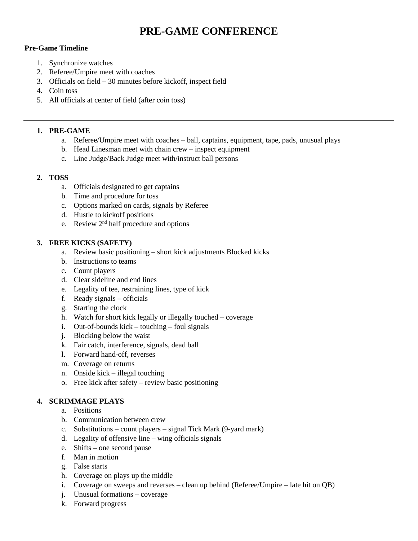# **PRE-GAME CONFERENCE**

## **Pre-Game Timeline**

- 1. Synchronize watches
- 2. Referee/Umpire meet with coaches
- 3. Officials on field 30 minutes before kickoff, inspect field
- 4. Coin toss
- 5. All officials at center of field (after coin toss)

## **1. PRE-GAME**

- a. Referee/Umpire meet with coaches ball, captains, equipment, tape, pads, unusual plays
- b. Head Linesman meet with chain crew inspect equipment
- c. Line Judge/Back Judge meet with/instruct ball persons

## **2. TOSS**

- a. Officials designated to get captains
- b. Time and procedure for toss
- c. Options marked on cards, signals by Referee
- d. Hustle to kickoff positions
- e. Review 2nd half procedure and options

## **3. FREE KICKS (SAFETY)**

- a. Review basic positioning short kick adjustments Blocked kicks
- b. Instructions to teams
- c. Count players
- d. Clear sideline and end lines
- e. Legality of tee, restraining lines, type of kick
- f. Ready signals officials
- g. Starting the clock
- h. Watch for short kick legally or illegally touched coverage
- i. Out-of-bounds kick touching foul signals
- j. Blocking below the waist
- k. Fair catch, interference, signals, dead ball
- l. Forward hand-off, reverses
- m. Coverage on returns
- n. Onside kick illegal touching
- o. Free kick after safety review basic positioning

## **4. SCRIMMAGE PLAYS**

- a. Positions
- b. Communication between crew
- c. Substitutions count players signal Tick Mark (9-yard mark)
- d. Legality of offensive line wing officials signals
- e. Shifts one second pause
- f. Man in motion
- g. False starts
- h. Coverage on plays up the middle
- i. Coverage on sweeps and reverses clean up behind (Referee/Umpire late hit on QB)
- j. Unusual formations coverage
- k. Forward progress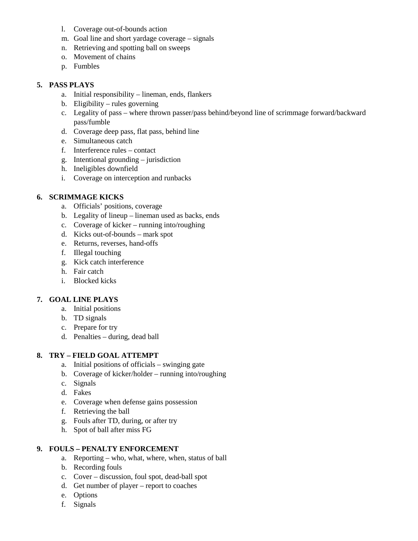- l. Coverage out-of-bounds action
- m. Goal line and short yardage coverage signals
- n. Retrieving and spotting ball on sweeps
- o. Movement of chains
- p. Fumbles

#### **5. PASS PLAYS**

- a. Initial responsibility lineman, ends, flankers
- b. Eligibility rules governing
- c. Legality of pass where thrown passer/pass behind/beyond line of scrimmage forward/backward pass/fumble
- d. Coverage deep pass, flat pass, behind line
- e. Simultaneous catch
- f. Interference rules contact
- g. Intentional grounding jurisdiction
- h. Ineligibles downfield
- i. Coverage on interception and runbacks

# **6. SCRIMMAGE KICKS**

- a. Officials' positions, coverage
- b. Legality of lineup lineman used as backs, ends
- c. Coverage of kicker running into/roughing
- d. Kicks out-of-bounds mark spot
- e. Returns, reverses, hand-offs
- f. Illegal touching
- g. Kick catch interference
- h. Fair catch
- i. Blocked kicks

## **7. GOAL LINE PLAYS**

- a. Initial positions
- b. TD signals
- c. Prepare for try
- d. Penalties during, dead ball

#### **8. TRY – FIELD GOAL ATTEMPT**

- a. Initial positions of officials swinging gate
- b. Coverage of kicker/holder running into/roughing
- c. Signals
- d. Fakes
- e. Coverage when defense gains possession
- f. Retrieving the ball
- g. Fouls after TD, during, or after try
- h. Spot of ball after miss FG

#### **9. FOULS – PENALTY ENFORCEMENT**

- a. Reporting who, what, where, when, status of ball
- b. Recording fouls
- c. Cover discussion, foul spot, dead-ball spot
- d. Get number of player report to coaches
- e. Options
- f. Signals